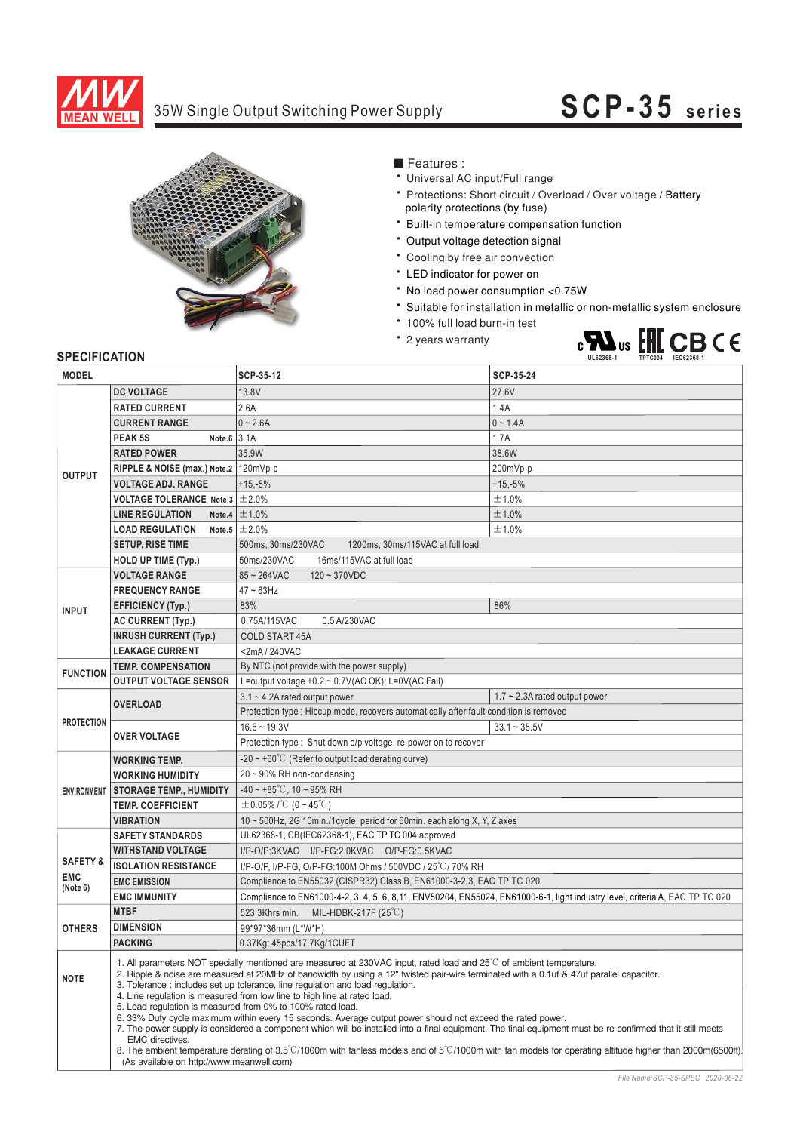

## 35W Single Output Switching Power Supply **SCP-35 series**



■ Features :

- Universal AC input/Full range
- \* Protections: Short circuit / Overload / Over voltage / Battery polarity protections (by fuse)
- \* Built-in temperature compensation function
- \* Output voltage detection signal
- \* Cooling by free air convection
- \* LED indicator for power on
- \* No load power consumption <0.75W
- \* Suitable for installation in metallic or non-metallic system enclosure
- \* 100% full load burn-in test
- \* 2 years warranty



### **SPECIFICATION**

| <b>MODEL</b>           |                                                                                                                                                                                                                                                                                                                                                                                                                                                                                                                                                                                                                                                                                                                                                                                                                                                                                                                                                                                                                         | SCP-35-12                                                                                                                     | SCP-35-24                           |  |  |
|------------------------|-------------------------------------------------------------------------------------------------------------------------------------------------------------------------------------------------------------------------------------------------------------------------------------------------------------------------------------------------------------------------------------------------------------------------------------------------------------------------------------------------------------------------------------------------------------------------------------------------------------------------------------------------------------------------------------------------------------------------------------------------------------------------------------------------------------------------------------------------------------------------------------------------------------------------------------------------------------------------------------------------------------------------|-------------------------------------------------------------------------------------------------------------------------------|-------------------------------------|--|--|
| <b>DC VOLTAGE</b>      |                                                                                                                                                                                                                                                                                                                                                                                                                                                                                                                                                                                                                                                                                                                                                                                                                                                                                                                                                                                                                         | 13.8V                                                                                                                         | 27.6V                               |  |  |
| <b>OUTPUT</b>          | <b>RATED CURRENT</b>                                                                                                                                                                                                                                                                                                                                                                                                                                                                                                                                                                                                                                                                                                                                                                                                                                                                                                                                                                                                    | 2.6A                                                                                                                          | 1.4A                                |  |  |
|                        | <b>CURRENT RANGE</b>                                                                                                                                                                                                                                                                                                                                                                                                                                                                                                                                                                                                                                                                                                                                                                                                                                                                                                                                                                                                    | $0 - 2.6A$                                                                                                                    | $0 - 1.4A$                          |  |  |
|                        | Note.6 $3.1A$<br>PEAK <sub>5S</sub>                                                                                                                                                                                                                                                                                                                                                                                                                                                                                                                                                                                                                                                                                                                                                                                                                                                                                                                                                                                     | 1.7A                                                                                                                          |                                     |  |  |
|                        | <b>RATED POWER</b>                                                                                                                                                                                                                                                                                                                                                                                                                                                                                                                                                                                                                                                                                                                                                                                                                                                                                                                                                                                                      | 35.9W                                                                                                                         | 38.6W                               |  |  |
|                        | RIPPLE & NOISE (max.) Note.2   120mVp-p                                                                                                                                                                                                                                                                                                                                                                                                                                                                                                                                                                                                                                                                                                                                                                                                                                                                                                                                                                                 |                                                                                                                               | 200mVp-p                            |  |  |
|                        | <b>VOLTAGE ADJ. RANGE</b>                                                                                                                                                                                                                                                                                                                                                                                                                                                                                                                                                                                                                                                                                                                                                                                                                                                                                                                                                                                               | $+15,-5%$<br>$+15,-5%$                                                                                                        |                                     |  |  |
|                        | <b>VOLTAGE TOLERANCE</b> Note.3 $\pm$ 2.0%                                                                                                                                                                                                                                                                                                                                                                                                                                                                                                                                                                                                                                                                                                                                                                                                                                                                                                                                                                              |                                                                                                                               | ±1.0%                               |  |  |
|                        | <b>LINE REGULATION</b>                                                                                                                                                                                                                                                                                                                                                                                                                                                                                                                                                                                                                                                                                                                                                                                                                                                                                                                                                                                                  | Note.4 $\pm$ 1.0%                                                                                                             | ±1.0%                               |  |  |
|                        | <b>LOAD REGULATION</b>                                                                                                                                                                                                                                                                                                                                                                                                                                                                                                                                                                                                                                                                                                                                                                                                                                                                                                                                                                                                  | Note.5 $\pm 2.0\%$                                                                                                            | ±1.0%                               |  |  |
|                        | <b>SETUP, RISE TIME</b>                                                                                                                                                                                                                                                                                                                                                                                                                                                                                                                                                                                                                                                                                                                                                                                                                                                                                                                                                                                                 | 500ms, 30ms/230VAC<br>1200ms, 30ms/115VAC at full load                                                                        |                                     |  |  |
|                        | <b>HOLD UP TIME (Typ.)</b>                                                                                                                                                                                                                                                                                                                                                                                                                                                                                                                                                                                                                                                                                                                                                                                                                                                                                                                                                                                              | 50ms/230VAC<br>16ms/115VAC at full load                                                                                       |                                     |  |  |
|                        | <b>VOLTAGE RANGE</b>                                                                                                                                                                                                                                                                                                                                                                                                                                                                                                                                                                                                                                                                                                                                                                                                                                                                                                                                                                                                    | $85 - 264$ VAC<br>$120 - 370VDC$                                                                                              |                                     |  |  |
|                        | <b>FREQUENCY RANGE</b>                                                                                                                                                                                                                                                                                                                                                                                                                                                                                                                                                                                                                                                                                                                                                                                                                                                                                                                                                                                                  | $47 \sim 63$ Hz                                                                                                               |                                     |  |  |
|                        |                                                                                                                                                                                                                                                                                                                                                                                                                                                                                                                                                                                                                                                                                                                                                                                                                                                                                                                                                                                                                         | 83%                                                                                                                           | 86%                                 |  |  |
| <b>INPUT</b>           | <b>EFFICIENCY (Typ.)</b>                                                                                                                                                                                                                                                                                                                                                                                                                                                                                                                                                                                                                                                                                                                                                                                                                                                                                                                                                                                                |                                                                                                                               |                                     |  |  |
|                        | <b>AC CURRENT (Typ.)</b><br><b>INRUSH CURRENT (Typ.)</b>                                                                                                                                                                                                                                                                                                                                                                                                                                                                                                                                                                                                                                                                                                                                                                                                                                                                                                                                                                | 0.75A/115VAC<br>0.5 A/230VAC                                                                                                  |                                     |  |  |
|                        | <b>LEAKAGE CURRENT</b>                                                                                                                                                                                                                                                                                                                                                                                                                                                                                                                                                                                                                                                                                                                                                                                                                                                                                                                                                                                                  | <b>COLD START 45A</b>                                                                                                         |                                     |  |  |
|                        | <b>TEMP. COMPENSATION</b>                                                                                                                                                                                                                                                                                                                                                                                                                                                                                                                                                                                                                                                                                                                                                                                                                                                                                                                                                                                               | <2mA/240VAC<br>By NTC (not provide with the power supply)                                                                     |                                     |  |  |
| <b>FUNCTION</b>        | <b>OUTPUT VOLTAGE SENSOR</b>                                                                                                                                                                                                                                                                                                                                                                                                                                                                                                                                                                                                                                                                                                                                                                                                                                                                                                                                                                                            | L=output voltage +0.2 ~ 0.7V(AC OK); L=0V(AC Fail)                                                                            |                                     |  |  |
|                        |                                                                                                                                                                                                                                                                                                                                                                                                                                                                                                                                                                                                                                                                                                                                                                                                                                                                                                                                                                                                                         | $3.1 \sim 4.2$ A rated output power                                                                                           | $1.7 \sim 2.3$ A rated output power |  |  |
|                        | <b>OVERLOAD</b>                                                                                                                                                                                                                                                                                                                                                                                                                                                                                                                                                                                                                                                                                                                                                                                                                                                                                                                                                                                                         | Protection type : Hiccup mode, recovers automatically after fault condition is removed                                        |                                     |  |  |
| <b>PROTECTION</b>      |                                                                                                                                                                                                                                                                                                                                                                                                                                                                                                                                                                                                                                                                                                                                                                                                                                                                                                                                                                                                                         | $16.6 - 19.3V$                                                                                                                | $33.1 - 38.5V$                      |  |  |
|                        | <b>OVER VOLTAGE</b>                                                                                                                                                                                                                                                                                                                                                                                                                                                                                                                                                                                                                                                                                                                                                                                                                                                                                                                                                                                                     | Protection type : Shut down o/p voltage, re-power on to recover                                                               |                                     |  |  |
|                        | <b>WORKING TEMP.</b>                                                                                                                                                                                                                                                                                                                                                                                                                                                                                                                                                                                                                                                                                                                                                                                                                                                                                                                                                                                                    | -20 $\sim$ +60°C (Refer to output load derating curve)                                                                        |                                     |  |  |
|                        | <b>WORKING HUMIDITY</b>                                                                                                                                                                                                                                                                                                                                                                                                                                                                                                                                                                                                                                                                                                                                                                                                                                                                                                                                                                                                 | $20 \sim 90\%$ RH non-condensing                                                                                              |                                     |  |  |
| <b>ENVIRONMENT</b>     | <b>STORAGE TEMP., HUMIDITY</b>                                                                                                                                                                                                                                                                                                                                                                                                                                                                                                                                                                                                                                                                                                                                                                                                                                                                                                                                                                                          | $-40 \sim +85^{\circ}$ C, 10 ~ 95% RH                                                                                         |                                     |  |  |
|                        | <b>TEMP. COEFFICIENT</b>                                                                                                                                                                                                                                                                                                                                                                                                                                                                                                                                                                                                                                                                                                                                                                                                                                                                                                                                                                                                | $\pm$ 0.05% /°C (0 ~ 45°C)                                                                                                    |                                     |  |  |
|                        | <b>VIBRATION</b>                                                                                                                                                                                                                                                                                                                                                                                                                                                                                                                                                                                                                                                                                                                                                                                                                                                                                                                                                                                                        | 10 ~ 500Hz, 2G 10min./1cycle, period for 60min. each along X, Y, Z axes                                                       |                                     |  |  |
|                        | <b>SAFETY STANDARDS</b>                                                                                                                                                                                                                                                                                                                                                                                                                                                                                                                                                                                                                                                                                                                                                                                                                                                                                                                                                                                                 | UL62368-1, CB(IEC62368-1), EAC TP TC 004 approved                                                                             |                                     |  |  |
|                        | <b>WITHSTAND VOLTAGE</b>                                                                                                                                                                                                                                                                                                                                                                                                                                                                                                                                                                                                                                                                                                                                                                                                                                                                                                                                                                                                | I/P-O/P:3KVAC I/P-FG:2.0KVAC O/P-FG:0.5KVAC                                                                                   |                                     |  |  |
| <b>SAFETY &amp;</b>    | <b>ISOLATION RESISTANCE</b>                                                                                                                                                                                                                                                                                                                                                                                                                                                                                                                                                                                                                                                                                                                                                                                                                                                                                                                                                                                             | I/P-O/P, I/P-FG, O/P-FG:100M Ohms / 500VDC / 25°C/70% RH                                                                      |                                     |  |  |
| <b>EMC</b><br>(Note 6) | <b>EMC EMISSION</b>                                                                                                                                                                                                                                                                                                                                                                                                                                                                                                                                                                                                                                                                                                                                                                                                                                                                                                                                                                                                     | Compliance to EN55032 (CISPR32) Class B, EN61000-3-2,3, EAC TP TC 020                                                         |                                     |  |  |
|                        | <b>EMC IMMUNITY</b>                                                                                                                                                                                                                                                                                                                                                                                                                                                                                                                                                                                                                                                                                                                                                                                                                                                                                                                                                                                                     | Compliance to EN61000-4-2, 3, 4, 5, 6, 8, 11, ENV50204, EN55024, EN61000-6-1, light industry level, criteria A, EAC TP TC 020 |                                     |  |  |
|                        | <b>MTBF</b>                                                                                                                                                                                                                                                                                                                                                                                                                                                                                                                                                                                                                                                                                                                                                                                                                                                                                                                                                                                                             | MIL-HDBK-217F (25°C)<br>523.3Khrs min.                                                                                        |                                     |  |  |
| <b>OTHERS</b>          | <b>DIMENSION</b>                                                                                                                                                                                                                                                                                                                                                                                                                                                                                                                                                                                                                                                                                                                                                                                                                                                                                                                                                                                                        | 99*97*36mm (L*W*H)                                                                                                            |                                     |  |  |
|                        | <b>PACKING</b>                                                                                                                                                                                                                                                                                                                                                                                                                                                                                                                                                                                                                                                                                                                                                                                                                                                                                                                                                                                                          | 0.37Kg; 45pcs/17.7Kg/1CUFT                                                                                                    |                                     |  |  |
| <b>NOTE</b>            | 1. All parameters NOT specially mentioned are measured at 230VAC input, rated load and 25°C of ambient temperature.<br>2. Ripple & noise are measured at 20MHz of bandwidth by using a 12" twisted pair-wire terminated with a 0.1uf & 47uf parallel capacitor.<br>3. Tolerance: includes set up tolerance, line regulation and load regulation.<br>4. Line regulation is measured from low line to high line at rated load.<br>5. Load regulation is measured from 0% to 100% rated load.<br>6. 33% Duty cycle maximum within every 15 seconds. Average output power should not exceed the rated power.<br>7. The power supply is considered a component which will be installed into a final equipment. The final equipment must be re-confirmed that it still meets<br>EMC directives.<br>8. The ambient temperature derating of $3.5^{\circ}$ C/1000m with fanless models and of $5^{\circ}$ C/1000m with fan models for operating altitude higher than 2000m(6500ft).<br>(As available on http://www.meanwell.com) |                                                                                                                               |                                     |  |  |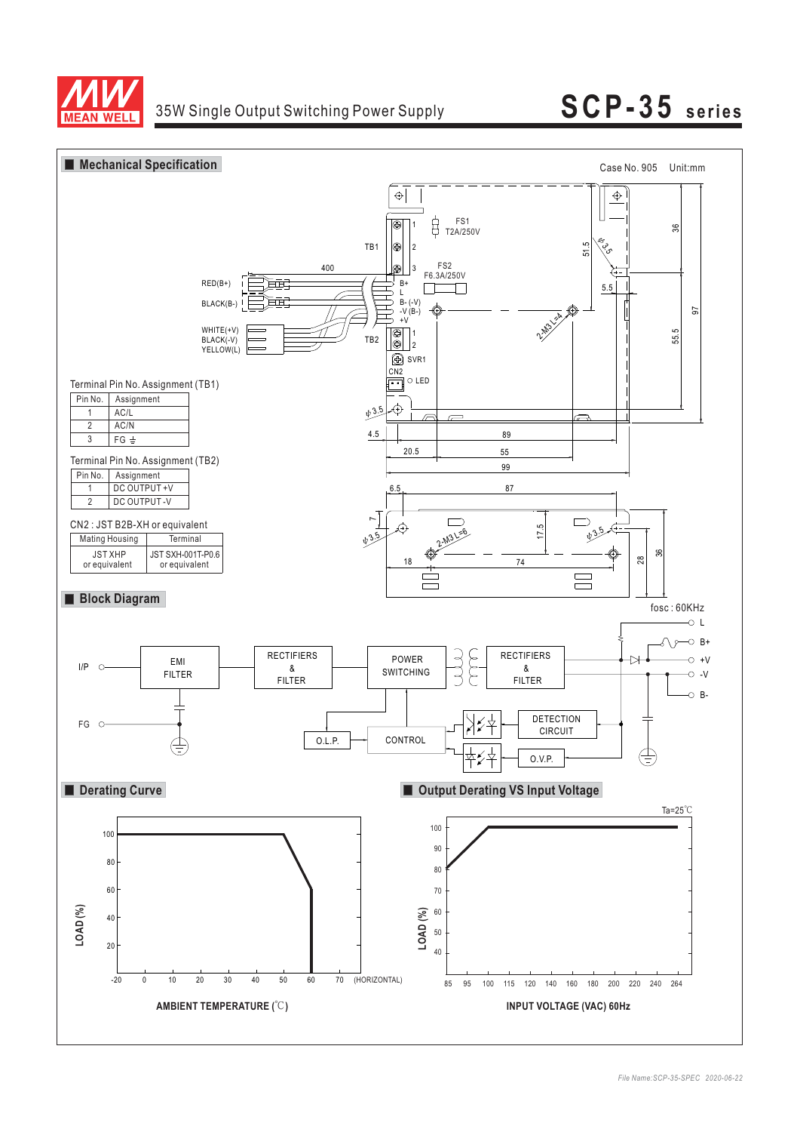



**AN WFI** 

# **SCP-35 series**